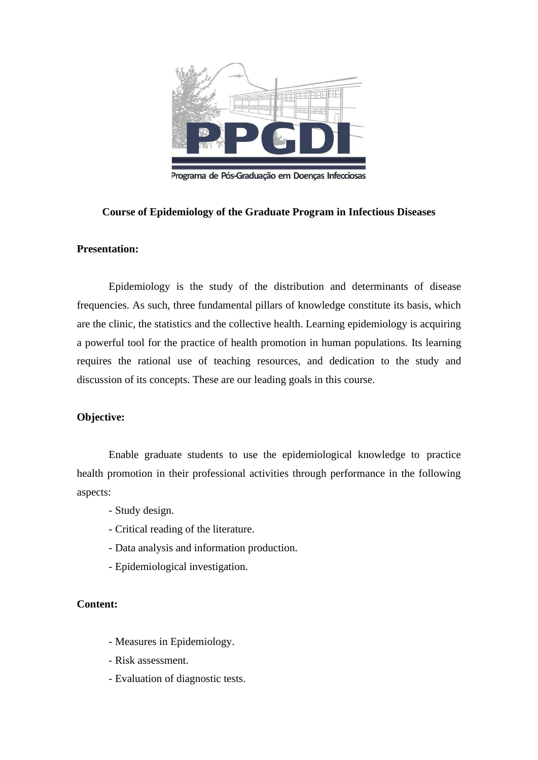

Programa de Pós-Graduação em Doenças Infecciosas

#### **Course of Epidemiology of the Graduate Program in Infectious Diseases**

# **Presentation:**

Epidemiology is the study of the distribution and determinants of disease frequencies. As such, three fundamental pillars of knowledge constitute its basis, which are the clinic, the statistics and the collective health. Learning epidemiology is acquiring a powerful tool for the practice of health promotion in human populations. Its learning requires the rational use of teaching resources, and dedication to the study and discussion of its concepts. These are our leading goals in this course.

# **Objective:**

Enable graduate students to use the epidemiological knowledge to practice health promotion in their professional activities through performance in the following aspects:

- Study design.
- Critical reading of the literature.
- Data analysis and information production.
- Epidemiological investigation.

# **Content:**

- Measures in Epidemiology.
- Risk assessment.
- Evaluation of diagnostic tests.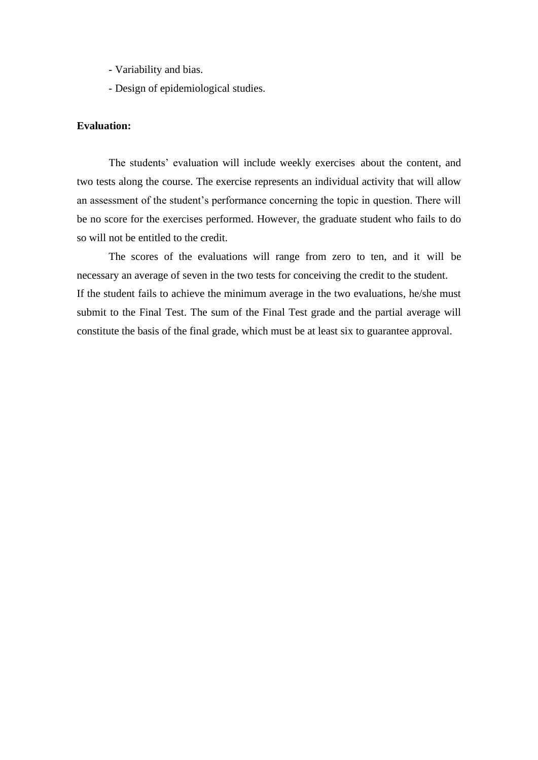- Variability and bias.
- Design of epidemiological studies.

# **Evaluation:**

The students' evaluation will include weekly exercises about the content, and two tests along the course. The exercise represents an individual activity that will allow an assessment of the student's performance concerning the topic in question. There will be no score for the exercises performed. However, the graduate student who fails to do so will not be entitled to the credit.

The scores of the evaluations will range from zero to ten, and it will be necessary an average of seven in the two tests for conceiving the credit to the student. If the student fails to achieve the minimum average in the two evaluations, he/she must submit to the Final Test. The sum of the Final Test grade and the partial average will constitute the basis of the final grade, which must be at least six to guarantee approval.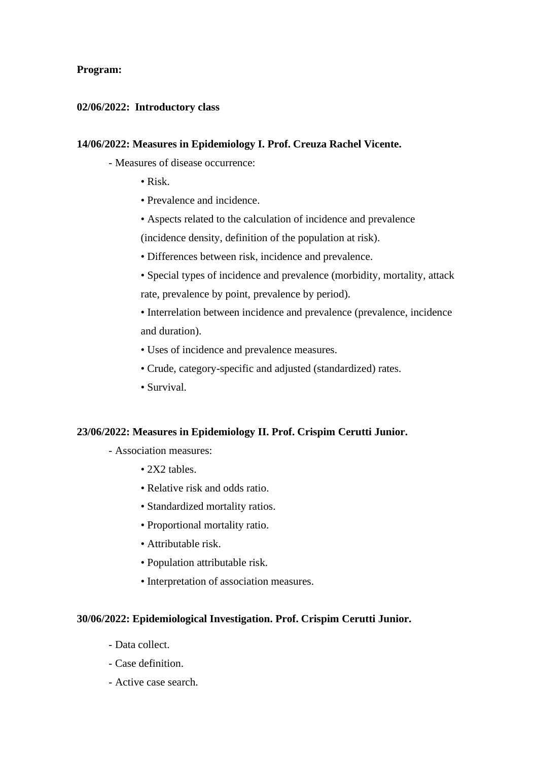# **Program:**

# **02/06/2022: Introductory class**

#### **14/06/2022: Measures in Epidemiology I. Prof. Creuza Rachel Vicente.**

- Measures of disease occurrence:
	- Risk.
	- Prevalence and incidence.
	- Aspects related to the calculation of incidence and prevalence

(incidence density, definition of the population at risk).

- Differences between risk, incidence and prevalence.
- Special types of incidence and prevalence (morbidity, mortality, attack rate, prevalence by point, prevalence by period).
- Interrelation between incidence and prevalence (prevalence, incidence and duration).
- Uses of incidence and prevalence measures.
- Crude, category-specific and adjusted (standardized) rates.
- Survival.

# **23/06/2022: Measures in Epidemiology II. Prof. Crispim Cerutti Junior.**

- Association measures:
	- 2X2 tables.
	- Relative risk and odds ratio.
	- Standardized mortality ratios.
	- Proportional mortality ratio.
	- Attributable risk.
	- Population attributable risk.
	- Interpretation of association measures.

# **30/06/2022: Epidemiological Investigation. Prof. Crispim Cerutti Junior.**

- Data collect.
- Case definition.
- Active case search.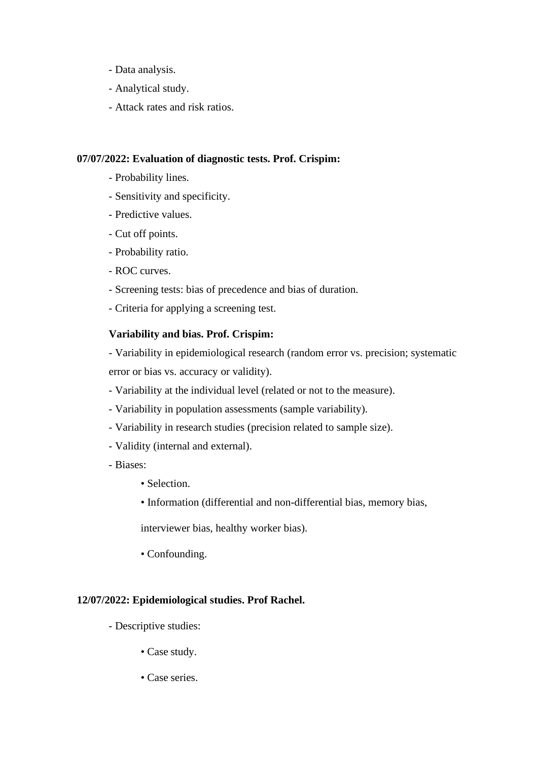- Data analysis.
- Analytical study.
- Attack rates and risk ratios.

# **07/07/2022: Evaluation of diagnostic tests. Prof. Crispim:**

- Probability lines.
- Sensitivity and specificity.
- Predictive values.
- Cut off points.
- Probability ratio.
- ROC curves.
- Screening tests: bias of precedence and bias of duration.
- Criteria for applying a screening test.

# **Variability and bias. Prof. Crispim:**

- Variability in epidemiological research (random error vs. precision; systematic error or bias vs. accuracy or validity).

- Variability at the individual level (related or not to the measure).
- Variability in population assessments (sample variability).
- Variability in research studies (precision related to sample size).
- Validity (internal and external).
- Biases:
	- Selection.
	- Information (differential and non-differential bias, memory bias,

interviewer bias, healthy worker bias).

• Confounding.

# **12/07/2022: Epidemiological studies. Prof Rachel.**

- Descriptive studies:
	- Case study.
	- Case series.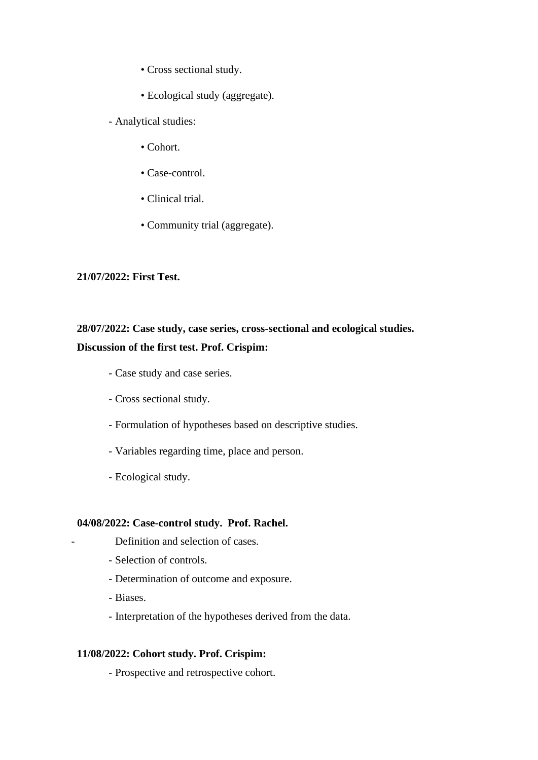- Cross sectional study.
- Ecological study (aggregate).
- Analytical studies:
	- Cohort.
	- Case-control.
	- Clinical trial.
	- Community trial (aggregate).

# **21/07/2022: First Test.**

# **28/07/2022: Case study, case series, cross-sectional and ecological studies. Discussion of the first test. Prof. Crispim:**

- Case study and case series.
- Cross sectional study.
- Formulation of hypotheses based on descriptive studies.
- Variables regarding time, place and person.
- Ecological study.

# **04/08/2022: Case-control study. Prof. Rachel.**

- Definition and selection of cases.
- Selection of controls.
- Determination of outcome and exposure.
- Biases.
- Interpretation of the hypotheses derived from the data.

# **11/08/2022: Cohort study. Prof. Crispim:**

- Prospective and retrospective cohort.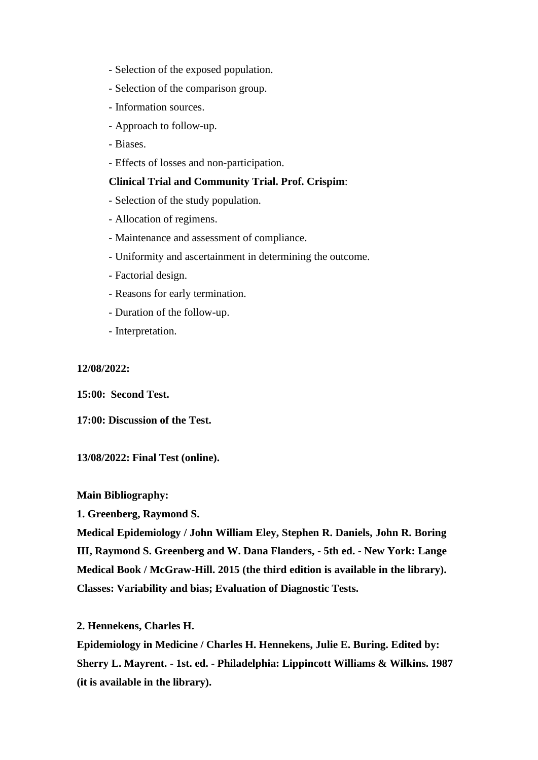- Selection of the exposed population.
- Selection of the comparison group.
- Information sources.
- Approach to follow-up.
- Biases.
- Effects of losses and non-participation.

#### **Clinical Trial and Community Trial. Prof. Crispim**:

- Selection of the study population.
- Allocation of regimens.
- Maintenance and assessment of compliance.
- Uniformity and ascertainment in determining the outcome.
- Factorial design.
- Reasons for early termination.
- Duration of the follow-up.
- Interpretation.

**12/08/2022:**

**15:00: Second Test.**

**17:00: Discussion of the Test.**

**13/08/2022: Final Test (online).**

**Main Bibliography:**

**1. Greenberg, Raymond S.**

**Medical Epidemiology / John William Eley, Stephen R. Daniels, John R. Boring III, Raymond S. Greenberg and W. Dana Flanders, - 5th ed. - New York: Lange Medical Book / McGraw-Hill. 2015 (the third edition is available in the library). Classes: Variability and bias; Evaluation of Diagnostic Tests.**

**2. Hennekens, Charles H.**

**Epidemiology in Medicine / Charles H. Hennekens, Julie E. Buring. Edited by: Sherry L. Mayrent. - 1st. ed. - Philadelphia: Lippincott Williams & Wilkins. 1987 (it is available in the library).**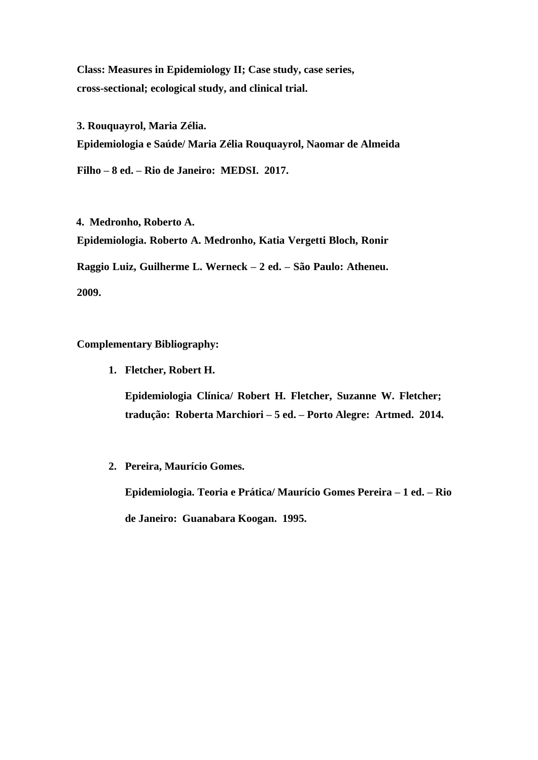**Class: Measures in Epidemiology II; Case study, case series, cross-sectional; ecological study, and clinical trial.**

**3. Rouquayrol, Maria Zélia. Epidemiologia e Saúde/ Maria Zélia Rouquayrol, Naomar de Almeida**

**Filho – 8 ed. – Rio de Janeiro: MEDSI. 2017.**

**4. Medronho, Roberto A.**

**Epidemiologia. Roberto A. Medronho, Katia Vergetti Bloch, Ronir**

**Raggio Luiz, Guilherme L. Werneck – 2 ed. – São Paulo: Atheneu.**

**2009.**

# **Complementary Bibliography:**

**1. Fletcher, Robert H.**

**Epidemiologia Clínica/ Robert H. Fletcher, Suzanne W. Fletcher; tradução: Roberta Marchiori – 5 ed. – Porto Alegre: Artmed. 2014.**

**2. Pereira, Maurício Gomes.**

**Epidemiologia. Teoria e Prática/ Maurício Gomes Pereira – 1 ed. – Rio de Janeiro: Guanabara Koogan. 1995.**